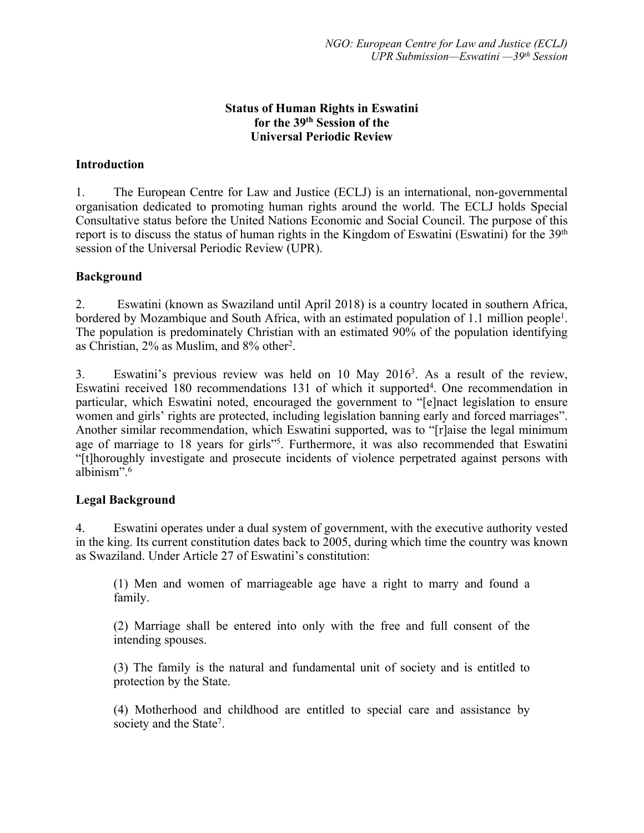### **Status of Human Rights in Eswatini for the 39th Session of the Universal Periodic Review**

## **Introduction**

1. The European Centre for Law and Justice (ECLJ) is an international, non-governmental organisation dedicated to promoting human rights around the world. The ECLJ holds Special Consultative status before the United Nations Economic and Social Council. The purpose of this report is to discuss the status of human rights in the Kingdom of Eswatini (Eswatini) for the 39<sup>th</sup> session of the Universal Periodic Review (UPR).

## **Background**

2. Eswatini (known as Swaziland until April 2018) is <sup>a</sup> country located in southern Africa, bordered by Mozambique and South Africa, with an estimated population of 1.1 million people<sup>1</sup>. The population is predominately Christian with an estimated 90% of the population identifying as Christian, 2% as Muslim, and 8% other 2 .

3. Eswatini'<sup>s</sup> previous review was held on 10 May 2016<sup>3</sup> . As <sup>a</sup> result of the review, Eswatini received 180 recommendations 131 of which it supported<sup>4</sup>. One recommendation in particular, which Eswatini noted, encouraged the governmen<sup>t</sup> to "[e]nact legislation to ensure women and girls' rights are protected, including legislation banning early and forced marriages". Another similar recommendation, which Eswatini supported, was to "[r]aise the legal minimum age of marriage to 18 years for girls"<sup>5</sup>. Furthermore, it was also recommended that Eswatini "[t]horoughly investigate and prosecute incidents of violence perpetrated against persons with albinism". 6

### **Legal Background**

4. Eswatini operates under <sup>a</sup> dual system of government, with the executive authority vested in the king. Its current constitution dates back to 2005, during which time the country was known as Swaziland. Under Article 27 of Eswatini'<sup>s</sup> constitution:

(1) Men and women of marriageable age have <sup>a</sup> right to marry and found <sup>a</sup> family.

(2) Marriage shall be entered into only with the free and full consent of the intending spouses.

(3) The family is the natural and fundamental unit of society and is entitled to protection by the State.

(4) Motherhood and childhood are entitled to special care and assistance by society and the State<sup>7</sup>.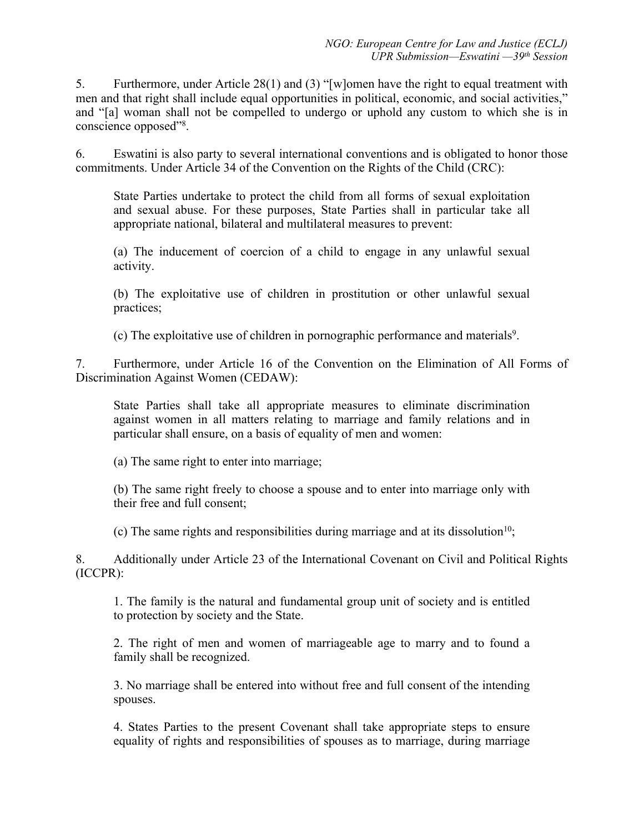5. Furthermore, under Article 28(1) and (3) "[w]omen have the right to equal treatment with men and that right shall include equal opportunities in political, economic, and social activities," and "[a] woman shall not be compelled to undergo or uphold any custom to which she is in conscience opposed"<sup>8</sup> .

6. Eswatini is also party to several international conventions and is obligated to honor those commitments. Under Article 34 of the Convention on the Rights of the Child (CRC):

State Parties undertake to protect the child from all forms of sexual exploitation and sexual abuse. For these purposes, State Parties shall in particular take all appropriate national, bilateral and multilateral measures to prevent:

(a) The inducement of coercion of <sup>a</sup> child to engage in any unlawful sexual activity.

(b) The exploitative use of children in prostitution or other unlawful sexual practices;

(c) The exploitative use of children in pornographic performance and materials 9 .

7. Furthermore, under Article 16 of the Convention on the Elimination of All Forms of Discrimination Against Women (CEDAW):

State Parties shall take all appropriate measures to eliminate discrimination against women in all matters relating to marriage and family relations and in particular shall ensure, on <sup>a</sup> basis of equality of men and women:

(a) The same right to enter into marriage;

(b) The same right freely to choose <sup>a</sup> spouse and to enter into marriage only with their free and full consent;

(c) The same rights and responsibilities during marriage and at its dissolution<sup>10</sup>;

8. Additionally under Article 23 of the International Covenant on Civil and Political Rights (ICCPR):

1. The family is the natural and fundamental group unit of society and is entitled to protection by society and the State.

2. The right of men and women of marriageable age to marry and to found <sup>a</sup> family shall be recognized.

3. No marriage shall be entered into without free and full consent of the intending spouses.

4. States Parties to the presen<sup>t</sup> Covenant shall take appropriate steps to ensure equality of rights and responsibilities of spouses as to marriage, during marriage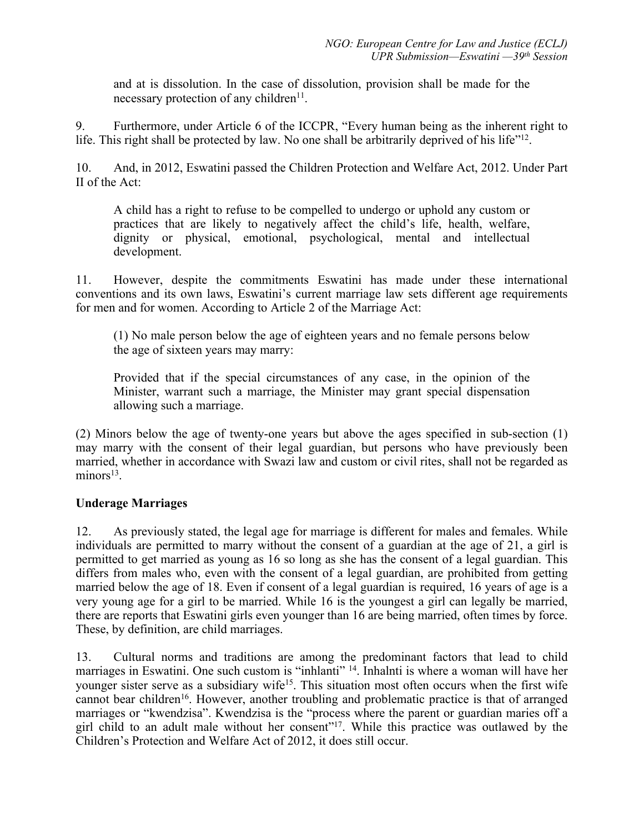and at is dissolution. In the case of dissolution, provision shall be made for the necessary protection of any children<sup>11</sup>.

9. Furthermore, under Article 6 of the ICCPR, "Every human being as the inherent right to life. This right shall be protected by law. No one shall be arbitrarily deprived of his life"<sup>12</sup>.

10. And, in 2012, Eswatini passed the Children Protection and Welfare Act, 2012. Under Part II of the Act:

A child has <sup>a</sup> right to refuse to be compelled to undergo or uphold any custom or practices that are likely to negatively affect the child'<sup>s</sup> life, health, welfare, dignity or physical, emotional, psychological, mental and intellectual development.

11. However, despite the commitments Eswatini has made under these international conventions and its own laws, Eswatini'<sup>s</sup> current marriage law sets different age requirements for men and for women. According to Article 2 of the Marriage Act:

(1) No male person below the age of eighteen years and no female persons below the age of sixteen years may marry:

Provided that if the special circumstances of any case, in the opinion of the Minister, warrant such <sup>a</sup> marriage, the Minister may gran<sup>t</sup> special dispensation allowing such <sup>a</sup> marriage.

(2) Minors below the age of twenty-one years but above the ages specified in sub-section (1) may marry with the consent of their legal guardian, but persons who have previously been married, whether in accordance with Swazi law and custom or civil rites, shall not be regarded as minors<sup>13</sup>.

# **Underage Marriages**

12. As previously stated, the legal age for marriage is different for males and females. While individuals are permitted to marry without the consent of <sup>a</sup> guardian at the age of 21, <sup>a</sup> girl is permitted to ge<sup>t</sup> married as young as 16 so long as she has the consent of <sup>a</sup> legal guardian. This differs from males who, even with the consent of <sup>a</sup> legal guardian, are prohibited from getting married below the age of 18. Even if consent of <sup>a</sup> legal guardian is required, 16 years of age is <sup>a</sup> very young age for <sup>a</sup> girl to be married. While 16 is the younges<sup>t</sup> <sup>a</sup> girl can legally be married, there are reports that Eswatini girls even younger than 16 are being married, often times by force. These, by definition, are child marriages.

13. Cultural norms and traditions are among the predominant factors that lead to child marriages in Eswatini. One such custom is "inhlanti" <sup>14</sup> . Inhalnti is where <sup>a</sup> woman will have her younger sister serve as a subsidiary wife<sup>15</sup>. This situation most often occurs when the first wife cannot bear children<sup>16</sup>. However, another troubling and problematic practice is that of arranged marriages or "kwendzisa". Kwendzisa is the "process where the paren<sup>t</sup> or guardian maries off <sup>a</sup> girl child to an adult male without her consent"<sup>17</sup>. While this practice was outlawed by the Children'<sup>s</sup> Protection and Welfare Act of 2012, it does still occur.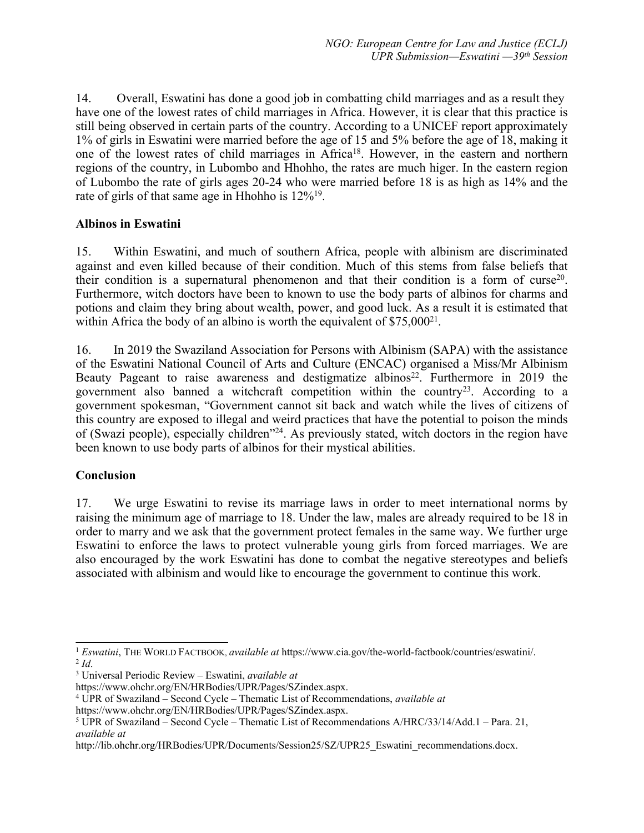14. Overall, Eswatini has done <sup>a</sup> good job in combatting child marriages and as <sup>a</sup> result they have one of the lowest rates of child marriages in Africa. However, it is clear that this practice is still being observed in certain parts of the country. According to <sup>a</sup> UNICEF repor<sup>t</sup> approximately 1% of girls in Eswatini were married before the age of 15 and 5% before the age of 18, making it one of the lowest rates of child marriages in Africa<sup>18</sup>. However, in the eastern and northern regions of the country, in Lubombo and Hhohho, the rates are much higer. In the eastern region of Lubombo the rate of girls ages 20-24 who were married before 18 is as high as 14% and the rate of girls of that same age in Hhohho is 12%<sup>19</sup>.

## **Albinos in Eswatini**

15. Within Eswatini, and much of southern Africa, people with albinism are discriminated against and even killed because of their condition. Much of this stems from false beliefs that their condition is a supernatural phenomenon and that their condition is a form of curse<sup>20</sup>. Furthermore, witch doctors have been to known to use the body parts of albinos for charms and potions and claim they bring about wealth, power, and good luck. As <sup>a</sup> result it is estimated that within Africa the body of an albino is worth the equivalent of  $\$75,000^{21}$ .

16. In 2019 the Swaziland Association for Persons with Albinism (SAPA) with the assistance of the Eswatini National Council of Arts and Culture (ENCAC) organised <sup>a</sup> Miss/Mr Albinism Beauty Pageant to raise awareness and destigmatize albinos 22 . Furthermore in 2019 the government also banned a witchcraft competition within the country<sup>23</sup>. According to a governmen<sup>t</sup> spokesman, "Government cannot sit back and watch while the lives of citizens of this country are exposed to illegal and weird practices that have the potential to poison the minds of (Swazi people), especially children<sup>324</sup>. As previously stated, witch doctors in the region have been known to use body parts of albinos for their mystical abilities.

# **Conclusion**

17. We urge Eswatini to revise its marriage laws in order to meet international norms by raising the minimum age of marriage to 18. Under the law, males are already required to be 18 in order to marry and we ask that the governmen<sup>t</sup> protect females in the same way. We further urge Eswatini to enforce the laws to protect vulnerable young girls from forced marriages. We are also encouraged by the work Eswatini has done to combat the negative stereotypes and beliefs associated with albinism and would like to encourage the governmen<sup>t</sup> to continue this work.

<sup>1</sup> *Eswatini*, THE WORLD FACTBOOK, *available at* https://www.cia.gov/the-world-factbook/countries/eswatini/. 2 *Id*.

<sup>3</sup> Universal Periodic Review – Eswatini, *available at*

https://www.ohchr.org/EN/HRBodies/UPR/Pages/SZindex.aspx.

<sup>4</sup> UPR of Swaziland – Second Cycle – Thematic List of Recommendations, *available at*

https://www.ohchr.org/EN/HRBodies/UPR/Pages/SZindex.aspx.

<sup>5</sup> UPR of Swaziland – Second Cycle – Thematic List of Recommendations A/HRC/33/14/Add.1 – Para. 21, *available at*

http://lib.ohchr.org/HRBodies/UPR/Documents/Session25/SZ/UPR25\_Eswatini\_recommendations.docx.